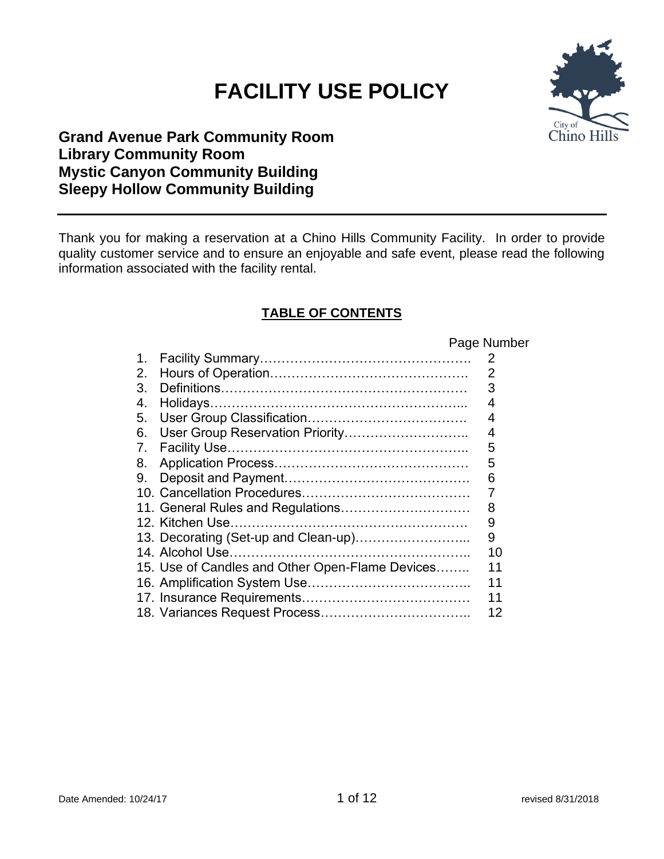# **FACILITY USE POLICY**



# **Grand Avenue Park Community Room Library Community Room Mystic Canyon Community Building Sleepy Hollow Community Building**

Thank you for making a reservation at a Chino Hills Community Facility. In order to provide quality customer service and to ensure an enjoyable and safe event, please read the following information associated with the facility rental.

# **TABLE OF CONTENTS**

Page Number

|    | $1$ ayu 1901                                    |    |
|----|-------------------------------------------------|----|
| 1. |                                                 | 2  |
| 2. |                                                 | 2  |
| 3. |                                                 | 3  |
| 4. |                                                 | 4  |
| 5. |                                                 | 4  |
| 6. | User Group Reservation Priority                 | 4  |
| 7. |                                                 | 5  |
| 8. |                                                 | 5  |
| 9. |                                                 | 6  |
|    |                                                 | 7  |
|    | 11. General Rules and Regulations               | 8  |
|    |                                                 | 9  |
|    | 13. Decorating (Set-up and Clean-up)            | 9  |
|    |                                                 | 10 |
|    | 15. Use of Candles and Other Open-Flame Devices | 11 |
|    |                                                 | 11 |
|    |                                                 | 11 |
|    |                                                 | 12 |
|    |                                                 |    |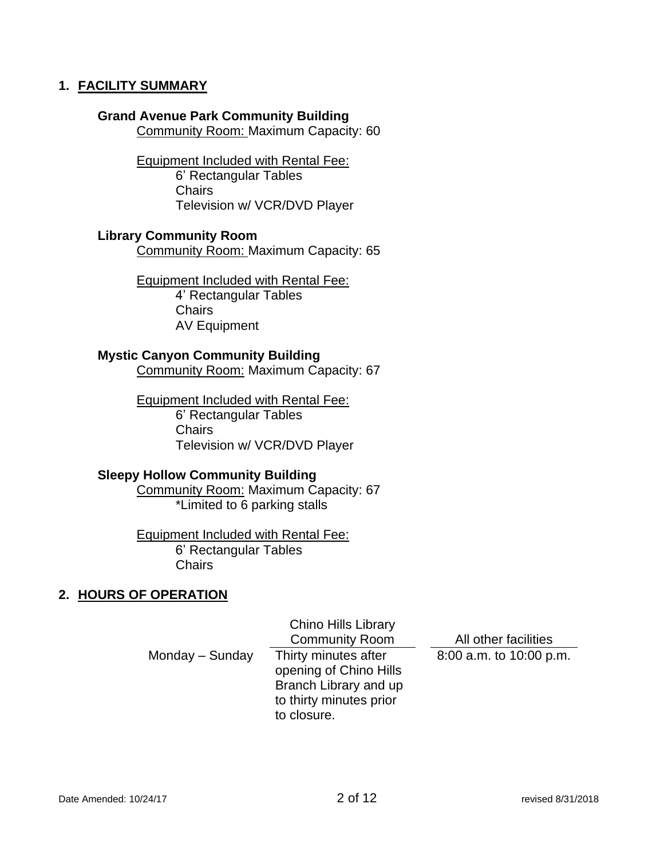#### **1. FACILITY SUMMARY**

#### **Grand Avenue Park Community Building**

Community Room: Maximum Capacity: 60

Equipment Included with Rental Fee: 6' Rectangular Tables **Chairs** Television w/ VCR/DVD Player

#### **Library Community Room**

Community Room: Maximum Capacity: 65

Equipment Included with Rental Fee:

4' Rectangular Tables **Chairs** AV Equipment

## **Mystic Canyon Community Building**

Community Room: Maximum Capacity: 67

Equipment Included with Rental Fee: 6' Rectangular Tables **Chairs** Television w/ VCR/DVD Player

#### **Sleepy Hollow Community Building**

Community Room: Maximum Capacity: 67 \*Limited to 6 parking stalls

Equipment Included with Rental Fee: 6' Rectangular Tables Chairs

## **2. HOURS OF OPERATION**

Chino Hills Library Community Room All other facilities Monday – Sunday Thirty minutes after opening of Chino Hills Branch Library and up to thirty minutes prior to closure. 8:00 a.m. to 10:00 p.m.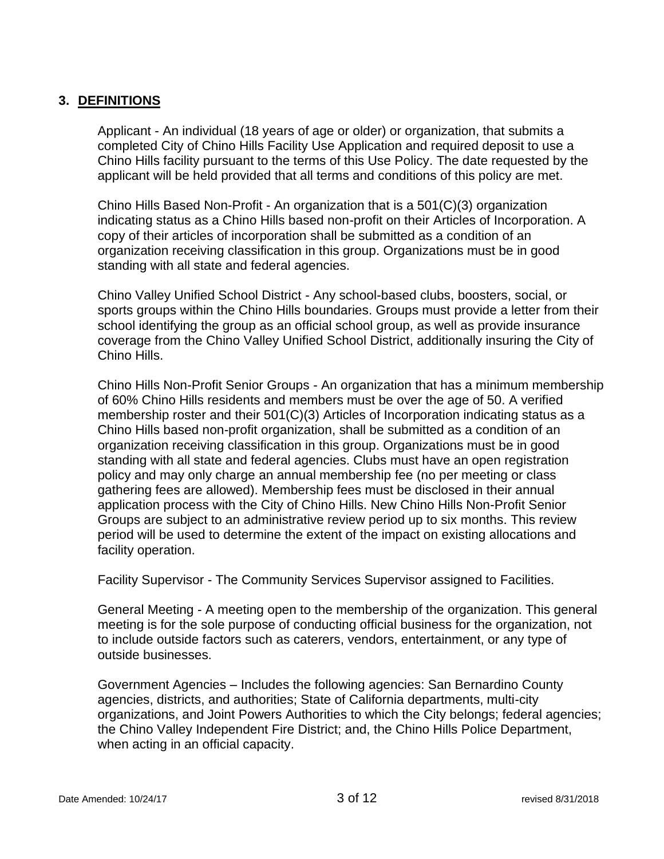## **3. DEFINITIONS**

Applicant - An individual (18 years of age or older) or organization, that submits a completed City of Chino Hills Facility Use Application and required deposit to use a Chino Hills facility pursuant to the terms of this Use Policy. The date requested by the applicant will be held provided that all terms and conditions of this policy are met.

Chino Hills Based Non-Profit - An organization that is a 501(C)(3) organization indicating status as a Chino Hills based non-profit on their Articles of Incorporation. A copy of their articles of incorporation shall be submitted as a condition of an organization receiving classification in this group. Organizations must be in good standing with all state and federal agencies.

Chino Valley Unified School District - Any school-based clubs, boosters, social, or sports groups within the Chino Hills boundaries. Groups must provide a letter from their school identifying the group as an official school group, as well as provide insurance coverage from the Chino Valley Unified School District, additionally insuring the City of Chino Hills.

Chino Hills Non-Profit Senior Groups - An organization that has a minimum membership of 60% Chino Hills residents and members must be over the age of 50. A verified membership roster and their 501(C)(3) Articles of Incorporation indicating status as a Chino Hills based non-profit organization, shall be submitted as a condition of an organization receiving classification in this group. Organizations must be in good standing with all state and federal agencies. Clubs must have an open registration policy and may only charge an annual membership fee (no per meeting or class gathering fees are allowed). Membership fees must be disclosed in their annual application process with the City of Chino Hills. New Chino Hills Non-Profit Senior Groups are subject to an administrative review period up to six months. This review period will be used to determine the extent of the impact on existing allocations and facility operation.

Facility Supervisor - The Community Services Supervisor assigned to Facilities.

General Meeting - A meeting open to the membership of the organization. This general meeting is for the sole purpose of conducting official business for the organization, not to include outside factors such as caterers, vendors, entertainment, or any type of outside businesses.

Government Agencies – Includes the following agencies: San Bernardino County agencies, districts, and authorities; State of California departments, multi-city organizations, and Joint Powers Authorities to which the City belongs; federal agencies; the Chino Valley Independent Fire District; and, the Chino Hills Police Department, when acting in an official capacity.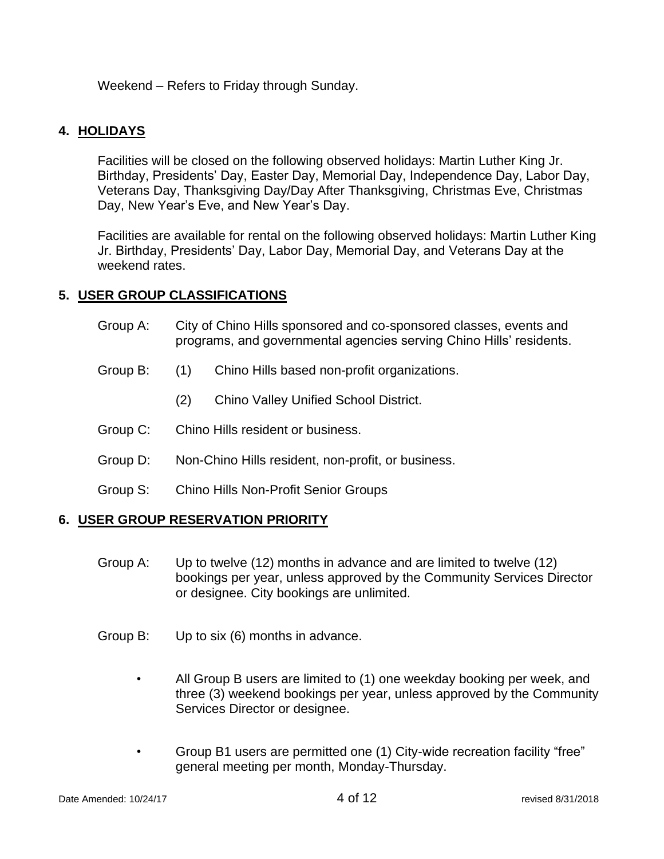Weekend – Refers to Friday through Sunday.

## **4. HOLIDAYS**

Facilities will be closed on the following observed holidays: Martin Luther King Jr. Birthday, Presidents' Day, Easter Day, Memorial Day, Independence Day, Labor Day, Veterans Day, Thanksgiving Day/Day After Thanksgiving, Christmas Eve, Christmas Day, New Year's Eve, and New Year's Day.

Facilities are available for rental on the following observed holidays: Martin Luther King Jr. Birthday, Presidents' Day, Labor Day, Memorial Day, and Veterans Day at the weekend rates.

## **5. USER GROUP CLASSIFICATIONS**

- Group A: City of Chino Hills sponsored and co-sponsored classes, events and programs, and governmental agencies serving Chino Hills' residents.
- Group B: (1) Chino Hills based non-profit organizations.
	- (2) Chino Valley Unified School District.
- Group C: Chino Hills resident or business.
- Group D: Non-Chino Hills resident, non-profit, or business.
- Group S: Chino Hills Non-Profit Senior Groups

## **6. USER GROUP RESERVATION PRIORITY**

- Group A: Up to twelve (12) months in advance and are limited to twelve (12) bookings per year, unless approved by the Community Services Director or designee. City bookings are unlimited.
- Group B: Up to six (6) months in advance.
	- All Group B users are limited to (1) one weekday booking per week, and three (3) weekend bookings per year, unless approved by the Community Services Director or designee.
	- Group B1 users are permitted one (1) City-wide recreation facility "free" general meeting per month, Monday-Thursday.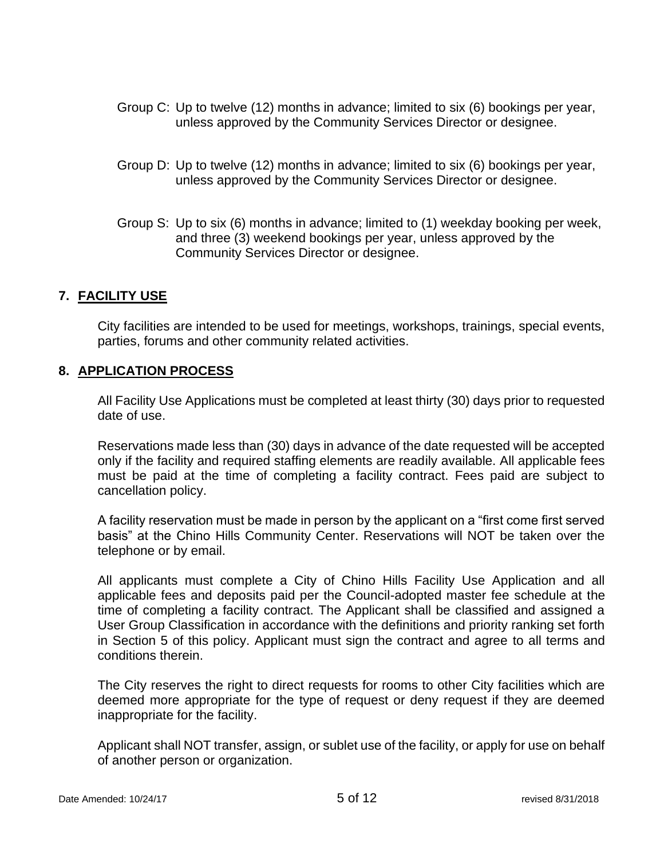- Group C: Up to twelve (12) months in advance; limited to six (6) bookings per year, unless approved by the Community Services Director or designee.
- Group D: Up to twelve (12) months in advance; limited to six (6) bookings per year, unless approved by the Community Services Director or designee.
- Group S: Up to six (6) months in advance; limited to (1) weekday booking per week, and three (3) weekend bookings per year, unless approved by the Community Services Director or designee.

## **7. FACILITY USE**

City facilities are intended to be used for meetings, workshops, trainings, special events, parties, forums and other community related activities.

#### **8. APPLICATION PROCESS**

All Facility Use Applications must be completed at least thirty (30) days prior to requested date of use.

Reservations made less than (30) days in advance of the date requested will be accepted only if the facility and required staffing elements are readily available. All applicable fees must be paid at the time of completing a facility contract. Fees paid are subject to cancellation policy.

A facility reservation must be made in person by the applicant on a "first come first served basis" at the Chino Hills Community Center. Reservations will NOT be taken over the telephone or by email.

All applicants must complete a City of Chino Hills Facility Use Application and all applicable fees and deposits paid per the Council-adopted master fee schedule at the time of completing a facility contract. The Applicant shall be classified and assigned a User Group Classification in accordance with the definitions and priority ranking set forth in Section 5 of this policy. Applicant must sign the contract and agree to all terms and conditions therein.

The City reserves the right to direct requests for rooms to other City facilities which are deemed more appropriate for the type of request or deny request if they are deemed inappropriate for the facility.

Applicant shall NOT transfer, assign, or sublet use of the facility, or apply for use on behalf of another person or organization.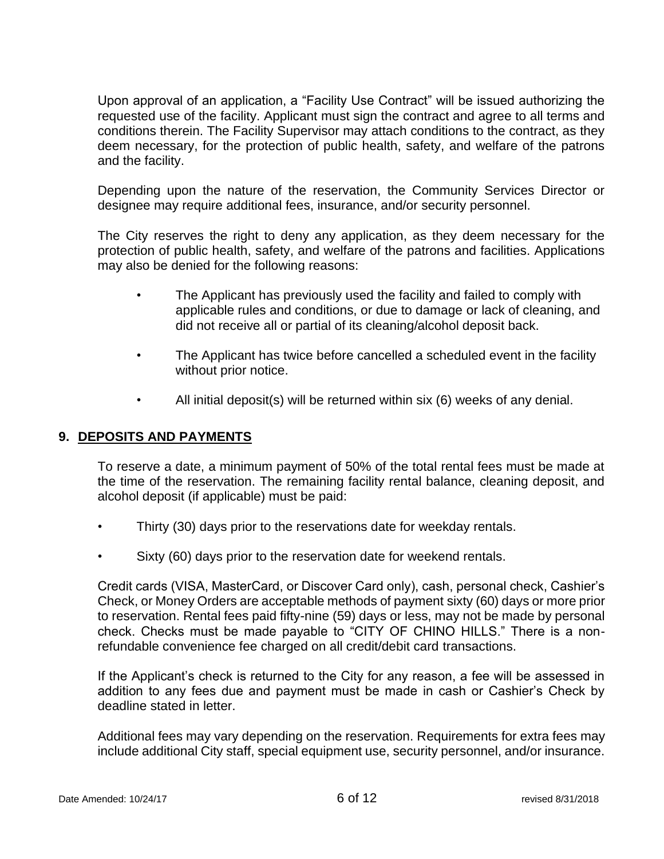Upon approval of an application, a "Facility Use Contract" will be issued authorizing the requested use of the facility. Applicant must sign the contract and agree to all terms and conditions therein. The Facility Supervisor may attach conditions to the contract, as they deem necessary, for the protection of public health, safety, and welfare of the patrons and the facility.

Depending upon the nature of the reservation, the Community Services Director or designee may require additional fees, insurance, and/or security personnel.

The City reserves the right to deny any application, as they deem necessary for the protection of public health, safety, and welfare of the patrons and facilities. Applications may also be denied for the following reasons:

- The Applicant has previously used the facility and failed to comply with applicable rules and conditions, or due to damage or lack of cleaning, and did not receive all or partial of its cleaning/alcohol deposit back.
- The Applicant has twice before cancelled a scheduled event in the facility without prior notice.
- All initial deposit(s) will be returned within six (6) weeks of any denial.

## **9. DEPOSITS AND PAYMENTS**

To reserve a date, a minimum payment of 50% of the total rental fees must be made at the time of the reservation. The remaining facility rental balance, cleaning deposit, and alcohol deposit (if applicable) must be paid:

- Thirty (30) days prior to the reservations date for weekday rentals.
- Sixty (60) days prior to the reservation date for weekend rentals.

Credit cards (VISA, MasterCard, or Discover Card only), cash, personal check, Cashier's Check, or Money Orders are acceptable methods of payment sixty (60) days or more prior to reservation. Rental fees paid fifty-nine (59) days or less, may not be made by personal check. Checks must be made payable to "CITY OF CHINO HILLS." There is a nonrefundable convenience fee charged on all credit/debit card transactions.

If the Applicant's check is returned to the City for any reason, a fee will be assessed in addition to any fees due and payment must be made in cash or Cashier's Check by deadline stated in letter.

Additional fees may vary depending on the reservation. Requirements for extra fees may include additional City staff, special equipment use, security personnel, and/or insurance.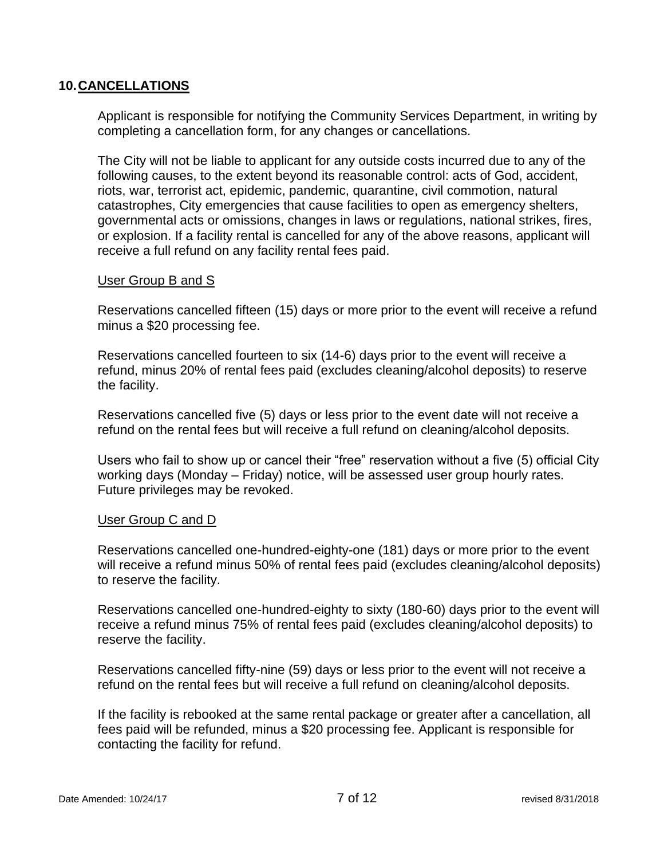#### **10.CANCELLATIONS**

Applicant is responsible for notifying the Community Services Department, in writing by completing a cancellation form, for any changes or cancellations.

The City will not be liable to applicant for any outside costs incurred due to any of the following causes, to the extent beyond its reasonable control: acts of God, accident, riots, war, terrorist act, epidemic, pandemic, quarantine, civil commotion, natural catastrophes, City emergencies that cause facilities to open as emergency shelters, governmental acts or omissions, changes in laws or regulations, national strikes, fires, or explosion. If a facility rental is cancelled for any of the above reasons, applicant will receive a full refund on any facility rental fees paid.

#### User Group B and S

Reservations cancelled fifteen (15) days or more prior to the event will receive a refund minus a \$20 processing fee.

Reservations cancelled fourteen to six (14-6) days prior to the event will receive a refund, minus 20% of rental fees paid (excludes cleaning/alcohol deposits) to reserve the facility.

Reservations cancelled five (5) days or less prior to the event date will not receive a refund on the rental fees but will receive a full refund on cleaning/alcohol deposits.

Users who fail to show up or cancel their "free" reservation without a five (5) official City working days (Monday – Friday) notice, will be assessed user group hourly rates. Future privileges may be revoked.

#### User Group C and D

Reservations cancelled one-hundred-eighty-one (181) days or more prior to the event will receive a refund minus 50% of rental fees paid (excludes cleaning/alcohol deposits) to reserve the facility.

Reservations cancelled one-hundred-eighty to sixty (180-60) days prior to the event will receive a refund minus 75% of rental fees paid (excludes cleaning/alcohol deposits) to reserve the facility.

Reservations cancelled fifty-nine (59) days or less prior to the event will not receive a refund on the rental fees but will receive a full refund on cleaning/alcohol deposits.

If the facility is rebooked at the same rental package or greater after a cancellation, all fees paid will be refunded, minus a \$20 processing fee. Applicant is responsible for contacting the facility for refund.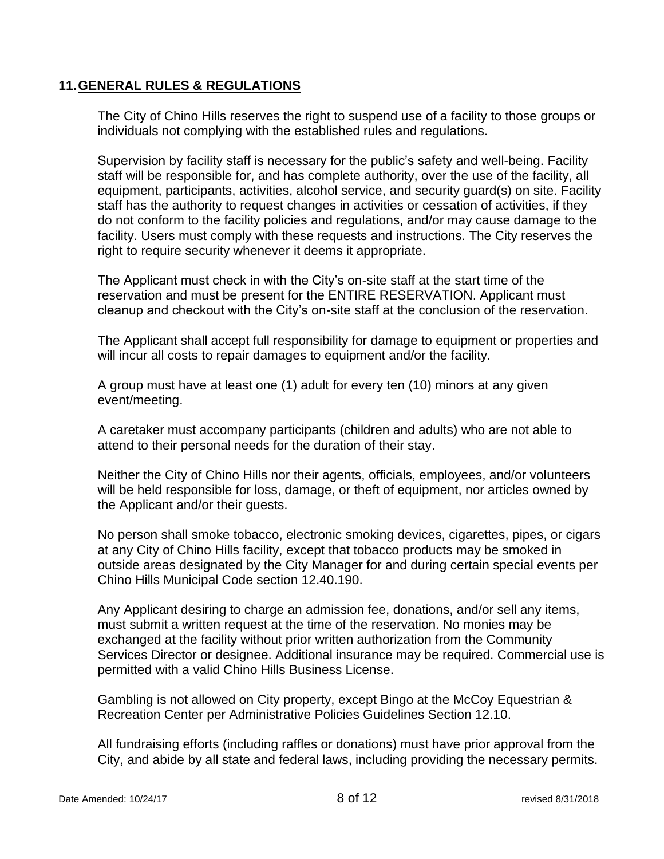## **11.GENERAL RULES & REGULATIONS**

The City of Chino Hills reserves the right to suspend use of a facility to those groups or individuals not complying with the established rules and regulations.

Supervision by facility staff is necessary for the public's safety and well-being. Facility staff will be responsible for, and has complete authority, over the use of the facility, all equipment, participants, activities, alcohol service, and security guard(s) on site. Facility staff has the authority to request changes in activities or cessation of activities, if they do not conform to the facility policies and regulations, and/or may cause damage to the facility. Users must comply with these requests and instructions. The City reserves the right to require security whenever it deems it appropriate.

The Applicant must check in with the City's on-site staff at the start time of the reservation and must be present for the ENTIRE RESERVATION. Applicant must cleanup and checkout with the City's on-site staff at the conclusion of the reservation.

The Applicant shall accept full responsibility for damage to equipment or properties and will incur all costs to repair damages to equipment and/or the facility.

A group must have at least one (1) adult for every ten (10) minors at any given event/meeting.

A caretaker must accompany participants (children and adults) who are not able to attend to their personal needs for the duration of their stay.

Neither the City of Chino Hills nor their agents, officials, employees, and/or volunteers will be held responsible for loss, damage, or theft of equipment, nor articles owned by the Applicant and/or their guests.

No person shall smoke tobacco, electronic smoking devices, cigarettes, pipes, or cigars at any City of Chino Hills facility, except that tobacco products may be smoked in outside areas designated by the City Manager for and during certain special events per Chino Hills Municipal Code section 12.40.190.

Any Applicant desiring to charge an admission fee, donations, and/or sell any items, must submit a written request at the time of the reservation. No monies may be exchanged at the facility without prior written authorization from the Community Services Director or designee. Additional insurance may be required. Commercial use is permitted with a valid Chino Hills Business License.

Gambling is not allowed on City property, except Bingo at the McCoy Equestrian & Recreation Center per Administrative Policies Guidelines Section 12.10.

All fundraising efforts (including raffles or donations) must have prior approval from the City, and abide by all state and federal laws, including providing the necessary permits.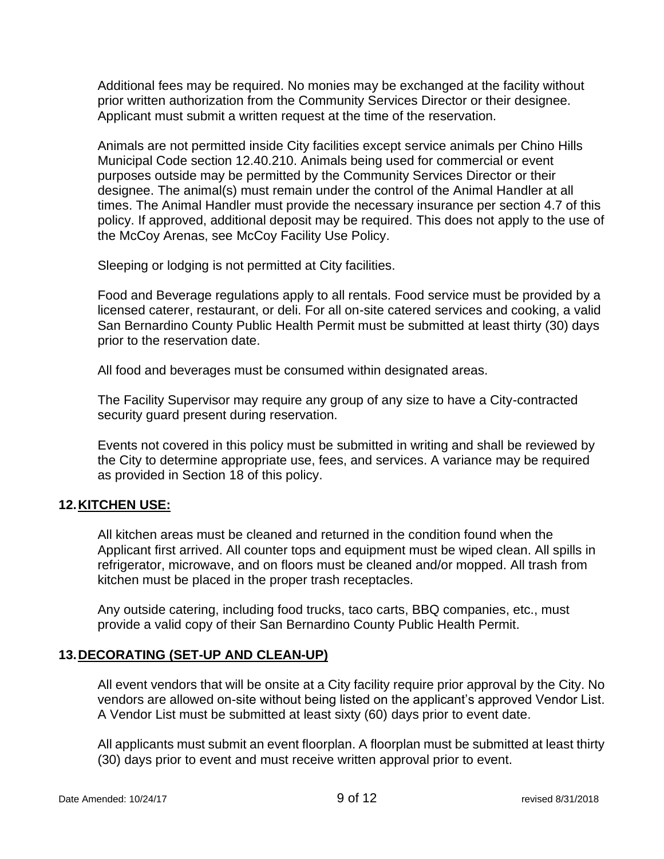Additional fees may be required. No monies may be exchanged at the facility without prior written authorization from the Community Services Director or their designee. Applicant must submit a written request at the time of the reservation.

Animals are not permitted inside City facilities except service animals per Chino Hills Municipal Code section 12.40.210. Animals being used for commercial or event purposes outside may be permitted by the Community Services Director or their designee. The animal(s) must remain under the control of the Animal Handler at all times. The Animal Handler must provide the necessary insurance per section 4.7 of this policy. If approved, additional deposit may be required. This does not apply to the use of the McCoy Arenas, see McCoy Facility Use Policy.

Sleeping or lodging is not permitted at City facilities.

Food and Beverage regulations apply to all rentals. Food service must be provided by a licensed caterer, restaurant, or deli. For all on-site catered services and cooking, a valid San Bernardino County Public Health Permit must be submitted at least thirty (30) days prior to the reservation date.

All food and beverages must be consumed within designated areas.

The Facility Supervisor may require any group of any size to have a City-contracted security guard present during reservation.

Events not covered in this policy must be submitted in writing and shall be reviewed by the City to determine appropriate use, fees, and services. A variance may be required as provided in Section 18 of this policy.

## **12.KITCHEN USE:**

All kitchen areas must be cleaned and returned in the condition found when the Applicant first arrived. All counter tops and equipment must be wiped clean. All spills in refrigerator, microwave, and on floors must be cleaned and/or mopped. All trash from kitchen must be placed in the proper trash receptacles.

Any outside catering, including food trucks, taco carts, BBQ companies, etc., must provide a valid copy of their San Bernardino County Public Health Permit.

## **13.DECORATING (SET-UP AND CLEAN-UP)**

All event vendors that will be onsite at a City facility require prior approval by the City. No vendors are allowed on-site without being listed on the applicant's approved Vendor List. A Vendor List must be submitted at least sixty (60) days prior to event date.

All applicants must submit an event floorplan. A floorplan must be submitted at least thirty (30) days prior to event and must receive written approval prior to event.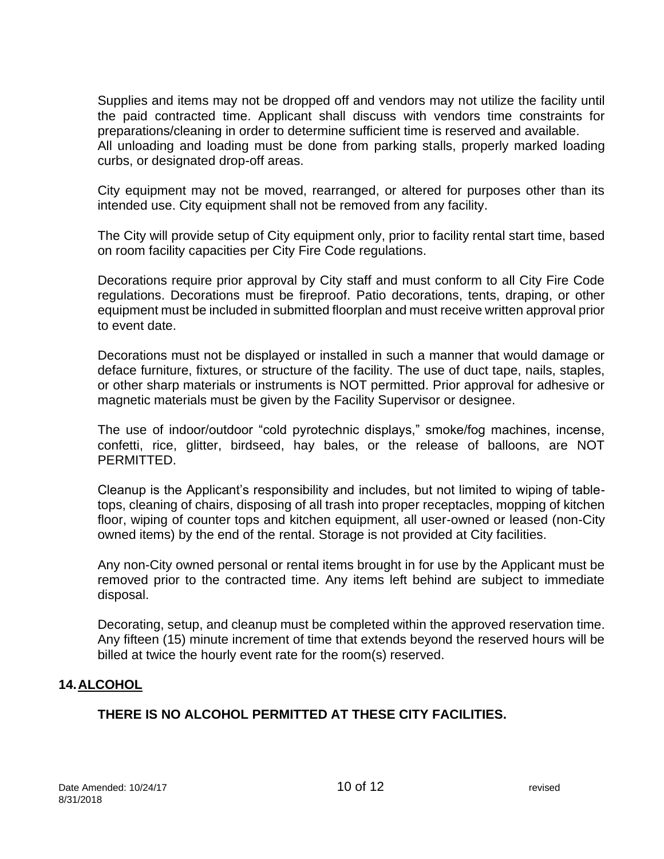Supplies and items may not be dropped off and vendors may not utilize the facility until the paid contracted time. Applicant shall discuss with vendors time constraints for preparations/cleaning in order to determine sufficient time is reserved and available. All unloading and loading must be done from parking stalls, properly marked loading curbs, or designated drop-off areas.

City equipment may not be moved, rearranged, or altered for purposes other than its intended use. City equipment shall not be removed from any facility.

The City will provide setup of City equipment only, prior to facility rental start time, based on room facility capacities per City Fire Code regulations.

Decorations require prior approval by City staff and must conform to all City Fire Code regulations. Decorations must be fireproof. Patio decorations, tents, draping, or other equipment must be included in submitted floorplan and must receive written approval prior to event date.

Decorations must not be displayed or installed in such a manner that would damage or deface furniture, fixtures, or structure of the facility. The use of duct tape, nails, staples, or other sharp materials or instruments is NOT permitted. Prior approval for adhesive or magnetic materials must be given by the Facility Supervisor or designee.

The use of indoor/outdoor "cold pyrotechnic displays," smoke/fog machines, incense, confetti, rice, glitter, birdseed, hay bales, or the release of balloons, are NOT PERMITTED.

Cleanup is the Applicant's responsibility and includes, but not limited to wiping of tabletops, cleaning of chairs, disposing of all trash into proper receptacles, mopping of kitchen floor, wiping of counter tops and kitchen equipment, all user-owned or leased (non-City owned items) by the end of the rental. Storage is not provided at City facilities.

Any non-City owned personal or rental items brought in for use by the Applicant must be removed prior to the contracted time. Any items left behind are subject to immediate disposal.

Decorating, setup, and cleanup must be completed within the approved reservation time. Any fifteen (15) minute increment of time that extends beyond the reserved hours will be billed at twice the hourly event rate for the room(s) reserved.

## **14.ALCOHOL**

## **THERE IS NO ALCOHOL PERMITTED AT THESE CITY FACILITIES.**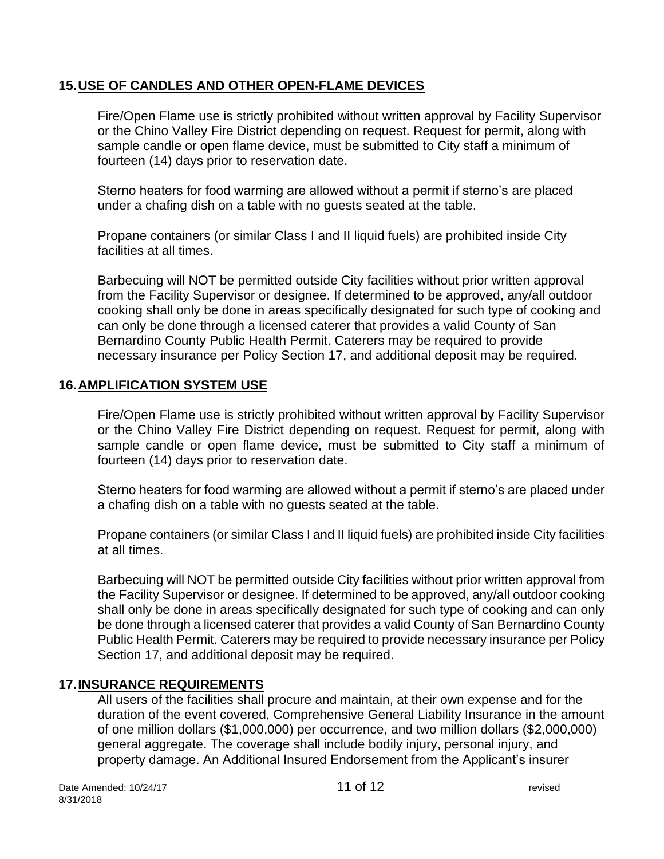## **15.USE OF CANDLES AND OTHER OPEN-FLAME DEVICES**

Fire/Open Flame use is strictly prohibited without written approval by Facility Supervisor or the Chino Valley Fire District depending on request. Request for permit, along with sample candle or open flame device, must be submitted to City staff a minimum of fourteen (14) days prior to reservation date.

Sterno heaters for food warming are allowed without a permit if sterno's are placed under a chafing dish on a table with no guests seated at the table.

Propane containers (or similar Class I and II liquid fuels) are prohibited inside City facilities at all times.

Barbecuing will NOT be permitted outside City facilities without prior written approval from the Facility Supervisor or designee. If determined to be approved, any/all outdoor cooking shall only be done in areas specifically designated for such type of cooking and can only be done through a licensed caterer that provides a valid County of San Bernardino County Public Health Permit. Caterers may be required to provide necessary insurance per Policy Section 17, and additional deposit may be required.

## **16.AMPLIFICATION SYSTEM USE**

Fire/Open Flame use is strictly prohibited without written approval by Facility Supervisor or the Chino Valley Fire District depending on request. Request for permit, along with sample candle or open flame device, must be submitted to City staff a minimum of fourteen (14) days prior to reservation date.

Sterno heaters for food warming are allowed without a permit if sterno's are placed under a chafing dish on a table with no guests seated at the table.

Propane containers (or similar Class I and II liquid fuels) are prohibited inside City facilities at all times.

Barbecuing will NOT be permitted outside City facilities without prior written approval from the Facility Supervisor or designee. If determined to be approved, any/all outdoor cooking shall only be done in areas specifically designated for such type of cooking and can only be done through a licensed caterer that provides a valid County of San Bernardino County Public Health Permit. Caterers may be required to provide necessary insurance per Policy Section 17, and additional deposit may be required.

## **17.INSURANCE REQUIREMENTS**

All users of the facilities shall procure and maintain, at their own expense and for the duration of the event covered, Comprehensive General Liability Insurance in the amount of one million dollars (\$1,000,000) per occurrence, and two million dollars (\$2,000,000) general aggregate. The coverage shall include bodily injury, personal injury, and property damage. An Additional Insured Endorsement from the Applicant's insurer